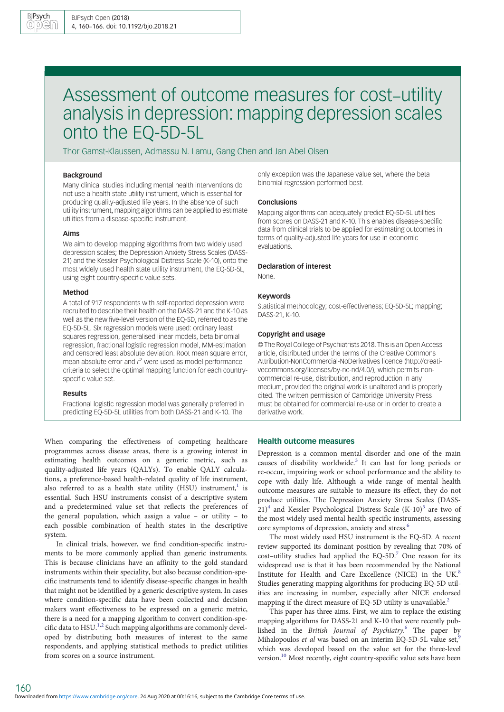# Assessment of outcome measures for cost–utility analysis in depression: mapping depression scales onto the EQ-5D-5L

Thor Gamst-Klaussen, Admassu N. Lamu, Gang Chen and Jan Abel Olsen

## Background

Many clinical studies including mental health interventions do not use a health state utility instrument, which is essential for producing quality-adjusted life years. In the absence of such utility instrument, mapping algorithms can be applied to estimate utilities from a disease-specific instrument.

## Aims

We aim to develop mapping algorithms from two widely used depression scales; the Depression Anxiety Stress Scales (DASS-21) and the Kessler Psychological Distress Scale (K-10), onto the most widely used health state utility instrument, the EQ-5D-5L, using eight country-specific value sets.

# Method

A total of 917 respondents with self-reported depression were recruited to describe their health on the DASS-21 and the K-10 as well as the new five-level version of the EQ-5D, referred to as the EQ-5D-5L. Six regression models were used: ordinary least squares regression, generalised linear models, beta binomial regression, fractional logistic regression model, MM-estimation and censored least absolute deviation. Root mean square error, mean absolute error and  $r^2$  were used as model performance criteria to select the optimal mapping function for each countryspecific value set.

## Results

Fractional logistic regression model was generally preferred in predicting EQ-5D-5L utilities from both DASS-21 and K-10. The

When comparing the effectiveness of competing healthcare programmes across disease areas, there is a growing interest in estimating health outcomes on a generic metric, such as quality-adjusted life years (QALYs). To enable QALY calculations, a preference-based health-related quality of life instrument, also referred to as a health state utility (HSU) instrument,<sup>1</sup> is essential. Such HSU instruments consist of a descriptive system and a predetermined value set that reflects the preferences of the general population, which assign a value – or utility – to each possible combination of health states in the descriptive system.

In clinical trials, however, we find condition-specific instruments to be more commonly applied than generic instruments. This is because clinicians have an affinity to the gold standard instruments within their speciality, but also because condition-specific instruments tend to identify disease-specific changes in health that might not be identified by a generic descriptive system. In cases where condition-specific data have been collected and decision makers want effectiveness to be expressed on a generic metric, there is a need for a mapping algorithm to convert condition-specific data to  $HSU^{1,2}$  $HSU^{1,2}$  $HSU^{1,2}$  Such mapping algorithms are commonly developed by distributing both measures of interest to the same respondents, and applying statistical methods to predict utilities from scores on a source instrument.

only exception was the Japanese value set, where the beta binomial regression performed best.

#### Conclusions

Mapping algorithms can adequately predict EQ-5D-5L utilities from scores on DASS-21 and K-10. This enables disease-specific data from clinical trials to be applied for estimating outcomes in terms of quality-adjusted life years for use in economic evaluations.

## Declaration of interest

None.

# Keywords

Statistical methodology; cost-effectiveness; EQ-5D-5L; mapping; DASS-21, K-10.

#### Copyright and usage

© The Royal College of Psychiatrists 2018. This is an Open Access article, distributed under the terms of the Creative Commons Attribution-NonCommercial-NoDerivatives licence (http://creativecommons.org/licenses/by-nc-nd/4.0/), which permits noncommercial re-use, distribution, and reproduction in any medium, provided the original work is unaltered and is properly cited. The written permission of Cambridge University Press must be obtained for commercial re-use or in order to create a derivative work.

# Health outcome measures

Depression is a common mental disorder and one of the main causes of disability worldwide.[3](#page-5-0) It can last for long periods or re-occur, impairing work or school performance and the ability to cope with daily life. Although a wide range of mental health outcome measures are suitable to measure its effect, they do not produce utilities. The Depression Anxiety Stress Scales (DASS- $21$ <sup>[4](#page-5-0)</sup> and Kessler Psychological Distress Scale (K-10)<sup>5</sup> are two of the most widely used mental health-specific instruments, assessing core symptoms of depression, anxiety and stress.<sup>[6](#page-5-0)</sup>

The most widely used HSU instrument is the EQ-5D. A recent review supported its dominant position by revealing that 70% of cost-utility studies had applied the EQ-5D.<sup>[7](#page-5-0)</sup> One reason for its widespread use is that it has been recommended by the National Institute for Health and Care Excellence (NICE) in the UK.<sup>8</sup> Studies generating mapping algorithms for producing EQ-5D utilities are increasing in number, especially after NICE endorsed mapping if the direct measure of EQ-5D utility is unavailable.<sup>[2](#page-5-0)</sup>

This paper has three aims. First, we aim to replace the existing mapping algorithms for DASS-21 and K-10 that were recently pub-lished in the British Journal of Psychiatry.<sup>[6](#page-5-0)</sup> The paper by Mihalopoulos et al was based on an interim EQ-5D-5L value set, which was developed based on the value set for the three-level version.<sup>10</sup> Most recently, eight country-specific value sets have been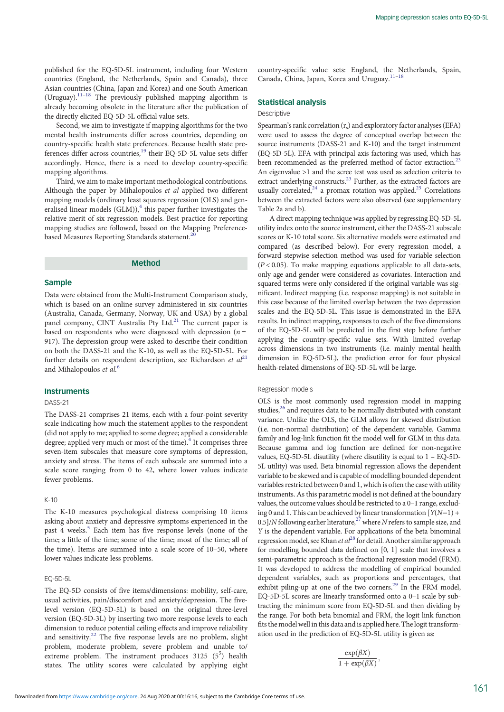published for the EQ-5D-5L instrument, including four Western countries (England, the Netherlands, Spain and Canada), three Asian countries (China, Japan and Korea) and one South American (Uruguay).<sup>11–[18](#page-6-0)</sup> The previously published mapping algorithm is already becoming obsolete in the literature after the publication of the directly elicited EQ-5D-5L official value sets.

Second, we aim to investigate if mapping algorithms for the two mental health instruments differ across countries, depending on country-specific health state preferences. Because health state pre-ferences differ across countries,<sup>[19](#page-6-0)</sup> their EQ-5D-5L value sets differ accordingly. Hence, there is a need to develop country-specific mapping algorithms.

Third, we aim to make important methodological contributions. Although the paper by Mihalopoulos et al applied two different mapping models (ordinary least squares regression (OLS) and generalised linear models (GLM)), $<sup>4</sup>$  $<sup>4</sup>$  $<sup>4</sup>$  this paper further investigates the</sup> relative merit of six regression models. Best practice for reporting mapping studies are followed, based on the Mapping Preference-based Measures Reporting Standards statement.<sup>[20](#page-6-0)</sup>

## Method

# Sample

Data were obtained from the Multi-Instrument Comparison study, which is based on an online survey administered in six countries (Australia, Canada, Germany, Norway, UK and USA) by a global panel company, CINT Australia Pty Ltd.<sup>21</sup> The current paper is based on respondents who were diagnosed with depression  $(n =$ 917). The depression group were asked to describe their condition on both the DASS-21 and the K-10, as well as the EQ-5D-5L. For further details on respondent description, see Richardson et  $al^{21}$  $al^{21}$  $al^{21}$ and Mihalopoulos et  $al<sup>6</sup>$  $al<sup>6</sup>$  $al<sup>6</sup>$ 

#### **Instruments**

## DASS-21

The DASS-21 comprises 21 items, each with a four-point severity scale indicating how much the statement applies to the respondent (did not apply to me; applied to some degree; applied a considerable degree; applied very much or most of the time). $<sup>4</sup>$  $<sup>4</sup>$  $<sup>4</sup>$  It comprises three</sup> seven-item subscales that measure core symptoms of depression, anxiety and stress. The items of each subscale are summed into a scale score ranging from 0 to 42, where lower values indicate fewer problems.

#### $K-10$

The K-10 measures psychological distress comprising 10 items asking about anxiety and depressive symptoms experienced in the past 4 weeks.<sup>[5](#page-5-0)</sup> Each item has five response levels (none of the time; a little of the time; some of the time; most of the time; all of the time). Items are summed into a scale score of 10–50, where lower values indicate less problems.

## EQ-5D-5L

The EQ-5D consists of five items/dimensions: mobility, self-care, usual activities, pain/discomfort and anxiety/depression. The fivelevel version (EQ-5D-5L) is based on the original three-level version (EQ-5D-3L) by inserting two more response levels to each dimension to reduce potential ceiling effects and improve reliability and sensitivity. $22$  The five response levels are no problem, slight problem, moderate problem, severe problem and unable to/ extreme problem. The instrument produces  $3125$  ( $5^5$ ) health states. The utility scores were calculated by applying eight

country-specific value sets: England, the Netherlands, Spain, Canada, China, Japan, Korea and Uruguay.[11](#page-5-0)–[18](#page-6-0)

# Statistical analysis

#### **Descriptive**

Spearman's rank correlation  $(r_s)$  and exploratory factor analyses (EFA) were used to assess the degree of conceptual overlap between the source instruments (DASS-21 and K-10) and the target instrument (EQ-5D-5L). EFA with principal axis factoring was used, which has been recommended as the preferred method of factor extraction.<sup>23</sup> An eigenvalue >1 and the scree test was used as selection criteria to extract underlying constructs.<sup>23</sup> Further, as the extracted factors are usually correlated, $24$  a promax rotation was applied. $25$  Correlations between the extracted factors were also observed (see supplementary Table 2a and b).

A direct mapping technique was applied by regressing EQ-5D-5L utility index onto the source instrument, either the DASS-21 subscale scores or K-10 total score. Six alternative models were estimated and compared (as described below). For every regression model, a forward stepwise selection method was used for variable selection  $(P < 0.05)$ . To make mapping equations applicable to all data-sets, only age and gender were considered as covariates. Interaction and squared terms were only considered if the original variable was significant. Indirect mapping (i.e. response mapping) is not suitable in this case because of the limited overlap between the two depression scales and the EQ-5D-5L. This issue is demonstrated in the EFA results. In indirect mapping, responses to each of the five dimensions of the EQ-5D-5L will be predicted in the first step before further applying the country-specific value sets. With limited overlap across dimensions in two instruments (i.e. mainly mental health dimension in EQ-5D-5L), the prediction error for four physical health-related dimensions of EQ-5D-5L will be large.

### Regression models

OLS is the most commonly used regression model in mapping studies,<sup>[26](#page-6-0)</sup> and requires data to be normally distributed with constant variance. Unlike the OLS, the GLM allows for skewed distribution (i.e. non-normal distribution) of the dependent variable. Gamma family and log-link function fit the model well for GLM in this data. Because gamma and log function are defined for non-negative values, EQ-5D-5L disutility (where disutility is equal to 1 – EQ-5D-5L utility) was used. Beta binomial regression allows the dependent variable to be skewed and is capable of modelling bounded dependent variables restricted between 0 and 1, which is often the case with utility instruments. As this parametric model is not defined at the boundary values, the outcome values should be restricted to a 0–1 range, excluding 0 and 1. This can be achieved by linear transformation [Y(N−1) + 0.5]/N following earlier literature, $^{27}$  where N refers to sample size, and Y is the dependent variable. For applications of the beta binominal regression model, see Khan et al<sup>[28](#page-6-0)</sup> for detail. Another similar approach for modelling bounded data defined on [0, 1] scale that involves a semi-parametric approach is the fractional regression model (FRM). It was developed to address the modelling of empirical bounded dependent variables, such as proportions and percentages, that exhibit piling-up at one of the two corners.<sup>[29](#page-6-0)</sup> In the FRM model, EQ-5D-5L scores are linearly transformed onto a 0–1 scale by subtracting the minimum score from EQ-5D-5L and then dividing by the range. For both beta binomial and FRM, the logit link function fits the model well in this data and is applied here. The logit transformation used in the prediction of EQ-5D-5L utility is given as:

> $\exp(\beta X)$  $\frac{\exp(\beta X)}{1 + \exp(\beta X)}$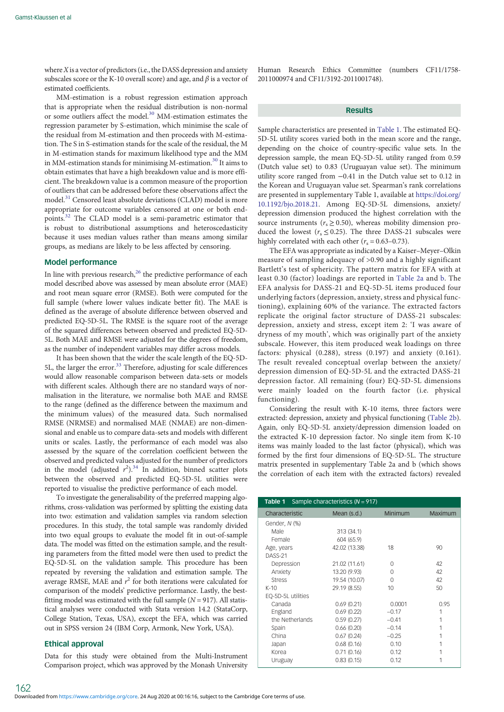where  $X$  is a vector of predictors (i.e., the DASS depression and anxiety subscales score or the K-10 overall score) and age, and  $\beta$  is a vector of estimated coefficients.

MM-estimation is a robust regression estimation approach that is appropriate when the residual distribution is non-normal or some outliers affect the model.<sup>[30](#page-6-0)</sup> MM-estimation estimates the regression parameter by S-estimation, which minimise the scale of the residual from M-estimation and then proceeds with M-estimation. The S in S-estimation stands for the scale of the residual, the M in M-estimation stands for maximum likelihood type and the MM in MM-estimation stands for minimising M-estimation.<sup>[30](#page-6-0)</sup> It aims to obtain estimates that have a high breakdown value and is more efficient. The breakdown value is a common measure of the proportion of outliers that can be addressed before these observations affect the model.<sup>[31](#page-6-0)</sup> Censored least absolute deviations (CLAD) model is more appropriate for outcome variables censored at one or both endpoints.[32](#page-6-0) The CLAD model is a semi-parametric estimator that is robust to distributional assumptions and heteroscedasticity because it uses median values rather than means among similar groups, as medians are likely to be less affected by censoring.

# Model performance

In line with previous research, $26$  the predictive performance of each model described above was assessed by mean absolute error (MAE) and root mean square error (RMSE). Both were computed for the full sample (where lower values indicate better fit). The MAE is defined as the average of absolute difference between observed and predicted EQ-5D-5L. The RMSE is the square root of the average of the squared differences between observed and predicted EQ-5D-5L. Both MAE and RMSE were adjusted for the degrees of freedom, as the number of independent variables may differ across models.

It has been shown that the wider the scale length of the EQ-5D-5L, the larger the error.<sup>[33](#page-6-0)</sup> Therefore, adjusting for scale differences would allow reasonable comparison between data-sets or models with different scales. Although there are no standard ways of normalisation in the literature, we normalise both MAE and RMSE to the range (defined as the difference between the maximum and the minimum values) of the measured data. Such normalised RMSE (NRMSE) and normalised MAE (NMAE) are non-dimensional and enable us to compare data-sets and models with different units or scales. Lastly, the performance of each model was also assessed by the square of the correlation coefficient between the observed and predicted values adjusted for the number of predictors in the model (adjusted  $r^2$ ).<sup>[34](#page-6-0)</sup> In addition, binned scatter plots between the observed and predicted EQ-5D-5L utilities were reported to visualise the predictive performance of each model.

To investigate the generalisability of the preferred mapping algorithms, cross-validation was performed by splitting the existing data into two: estimation and validation samples via random selection procedures. In this study, the total sample was randomly divided into two equal groups to evaluate the model fit in out-of-sample data. The model was fitted on the estimation sample, and the resulting parameters from the fitted model were then used to predict the EQ-5D-5L on the validation sample. This procedure has been repeated by reversing the validation and estimation sample. The average RMSE, MAE and  $r^2$  for both iterations were calculated for comparison of the models' predictive performance. Lastly, the bestfitting model was estimated with the full sample  $(N = 917)$ . All statistical analyses were conducted with Stata version 14.2 (StataCorp, College Station, Texas, USA), except the EFA, which was carried out in SPSS version 24 (IBM Corp, Armonk, New York, USA).

# Ethical approval

Data for this study were obtained from the Multi-Instrument Comparison project, which was approved by the Monash University Human Research Ethics Committee (numbers CF11/1758- 2011000974 and CF11/3192-2011001748).

# Results

Sample characteristics are presented in Table 1. The estimated EQ-5D-5L utility scores varied both in the mean score and the range, depending on the choice of country-specific value sets. In the depression sample, the mean EQ-5D-5L utility ranged from 0.59 (Dutch value set) to 0.83 (Uruguayan value set). The minimum utility score ranged from −0.41 in the Dutch value set to 0.12 in the Korean and Uruguayan value set. Spearman's rank correlations are presented in supplementary Table 1, available at [https://doi.org/](https://doi.org/10.1192/bjo.2018.21) [10.1192/bjo.2018.21](https://doi.org/10.1192/bjo.2018.21). Among EQ-5D-5L dimensions, anxiety/ depression dimension produced the highest correlation with the source instruments ( $r_s \geq 0.50$ ), whereas mobility dimension produced the lowest ( $r_s \leq 0.25$ ). The three DASS-21 subscales were highly correlated with each other ( $r_s = 0.63 - 0.73$ ).

The EFA was appropriate as indicated by a Kaiser–Meyer–Olkin measure of sampling adequacy of >0.90 and a highly significant Bartlett's test of sphericity. The pattern matrix for EFA with at least 0.30 (factor) loadings are reported in [Table 2a](#page-3-0) and [b](#page-3-0). The EFA analysis for DASS-21 and EQ-5D-5L items produced four underlying factors (depression, anxiety, stress and physical functioning), explaining 60% of the variance. The extracted factors replicate the original factor structure of DASS-21 subscales: depression, anxiety and stress, except item 2: 'I was aware of dryness of my mouth', which was originally part of the anxiety subscale. However, this item produced weak loadings on three factors: physical (0.288), stress (0.197) and anxiety (0.161). The result revealed conceptual overlap between the anxiety/ depression dimension of EQ-5D-5L and the extracted DASS-21 depression factor. All remaining (four) EQ-5D-5L dimensions were mainly loaded on the fourth factor (i.e. physical functioning).

Considering the result with K-10 items, three factors were extracted: depression, anxiety and physical functioning [\(Table 2b](#page-3-0)). Again, only EQ-5D-5L anxiety/depression dimension loaded on the extracted K-10 depression factor. No single item from K-10 items was mainly loaded to the last factor (physical), which was formed by the first four dimensions of EQ-5D-5L. The structure matrix presented in supplementary Table 2a and b (which shows the correlation of each item with the extracted factors) revealed

| Table 1<br>Sample characteristics $(N = 917)$ |               |          |         |  |  |  |  |  |
|-----------------------------------------------|---------------|----------|---------|--|--|--|--|--|
| Characteristic                                | Mean (s.d.)   | Minimum  | Maximum |  |  |  |  |  |
| Gender, N (%)                                 |               |          |         |  |  |  |  |  |
| Male                                          | 313 (34.1)    |          |         |  |  |  |  |  |
| Female                                        | 604 (65.9)    |          |         |  |  |  |  |  |
| Age, years                                    | 42.02 (13.38) | 18       | 90      |  |  |  |  |  |
| DASS-21                                       |               |          |         |  |  |  |  |  |
| Depression                                    | 21.02 (11.61) | O        | 42      |  |  |  |  |  |
| Anxiety                                       | 13.20 (9.93)  | $\Omega$ | 42      |  |  |  |  |  |
| <b>Stress</b>                                 | 19.54 (10.07) | $\Omega$ | 42      |  |  |  |  |  |
| $K-10$                                        | 29.19 (8.55)  | 10       | 50      |  |  |  |  |  |
| EQ-5D-5L utilities                            |               |          |         |  |  |  |  |  |
| Canada                                        | 0.69(0.21)    | 0.0001   | 0.95    |  |  |  |  |  |
| England                                       | 0.69(0.22)    | $-0.17$  | 1       |  |  |  |  |  |
| the Netherlands                               | 0.59(0.27)    | $-0.41$  | 1       |  |  |  |  |  |
| Spain                                         | 0.66(0.20)    | $-0.14$  | 1       |  |  |  |  |  |
| China                                         | 0.67(0.24)    | $-0.25$  | 1       |  |  |  |  |  |
| Japan                                         | 0.68(0.16)    | 0.10     | 1       |  |  |  |  |  |
| Korea                                         | 0.71(0.16)    | 0.12     |         |  |  |  |  |  |
| Uruguay                                       | 0.83(0.15)    | 0.12     |         |  |  |  |  |  |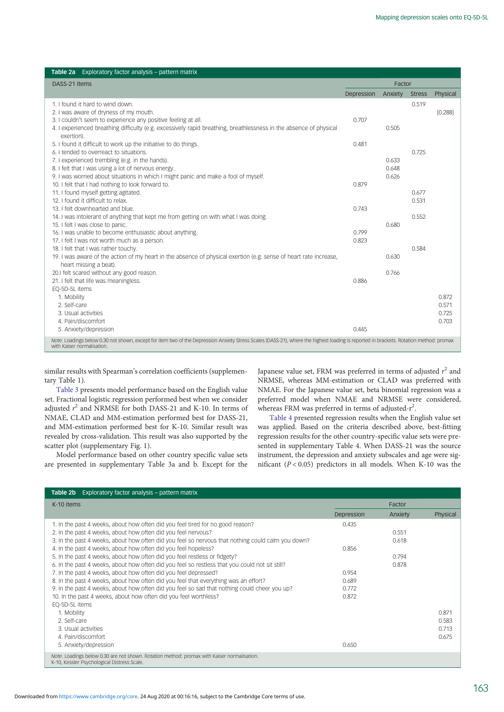<span id="page-3-0"></span>

| <b>Table 2a</b> Exploratory factor analysis – pattern matrix                                                                                                                                                         |            |         |               |          |  |
|----------------------------------------------------------------------------------------------------------------------------------------------------------------------------------------------------------------------|------------|---------|---------------|----------|--|
| DASS-21 items                                                                                                                                                                                                        | Factor     |         |               |          |  |
|                                                                                                                                                                                                                      | Depression | Anxiety | <b>Stress</b> | Physical |  |
| 1. I found it hard to wind down.                                                                                                                                                                                     |            |         | 0.519         |          |  |
| 2. I was aware of dryness of my mouth.                                                                                                                                                                               |            |         |               | [0.288]  |  |
| 3. I couldn't seem to experience any positive feeling at all.                                                                                                                                                        | 0.707      |         |               |          |  |
| 4. I experienced breathing difficulty (e.g. excessively rapid breathing, breathlessness in the absence of physical<br>exertion).                                                                                     |            | 0.505   |               |          |  |
| 5. I found it difficult to work up the initiative to do things.                                                                                                                                                      | 0.481      |         |               |          |  |
| 6. I tended to overreact to situations.                                                                                                                                                                              |            |         | 0.725         |          |  |
| 7. I experienced trembling (e.g. in the hands).                                                                                                                                                                      |            | 0.633   |               |          |  |
| 8. I felt that I was using a lot of nervous energy.                                                                                                                                                                  |            | 0.648   |               |          |  |
| 9. I was worried about situations in which I might panic and make a fool of myself.                                                                                                                                  |            | 0.626   |               |          |  |
| 10. I felt that I had nothing to look forward to.                                                                                                                                                                    | 0.879      |         |               |          |  |
| 11. I found myself getting agitated.                                                                                                                                                                                 |            |         | 0.677         |          |  |
| 12. I found it difficult to relax.                                                                                                                                                                                   |            |         | 0.531         |          |  |
| 13. I felt downhearted and blue.                                                                                                                                                                                     | 0.743      |         |               |          |  |
| 14. I was intolerant of anything that kept me from getting on with what I was doing.                                                                                                                                 |            |         | 0.552         |          |  |
| 15. I felt I was close to panic.                                                                                                                                                                                     |            | 0.680   |               |          |  |
| 16. I was unable to become enthusiastic about anything.                                                                                                                                                              | 0.799      |         |               |          |  |
| 17. I felt I was not worth much as a person.                                                                                                                                                                         | 0.823      |         |               |          |  |
| 18. I felt that I was rather touchy.                                                                                                                                                                                 |            |         | 0.584         |          |  |
| 19. I was aware of the action of my heart in the absence of physical exertion (e.g. sense of heart rate increase,<br>heart missing a beat).                                                                          |            | 0.630   |               |          |  |
| 20.I felt scared without any good reason.                                                                                                                                                                            |            | 0.766   |               |          |  |
| 21. I felt that life was meaningless.                                                                                                                                                                                | 0.886      |         |               |          |  |
| EQ-5D-5L items                                                                                                                                                                                                       |            |         |               |          |  |
| 1. Mobility                                                                                                                                                                                                          |            |         |               | 0.872    |  |
| 2. Self-care                                                                                                                                                                                                         |            |         |               | 0.571    |  |
| 3. Usual activities                                                                                                                                                                                                  |            |         |               | 0.725    |  |
| 4. Pain/discomfort                                                                                                                                                                                                   |            |         |               | 0.703    |  |
| 5. Anxiety/depression                                                                                                                                                                                                | 0.445      |         |               |          |  |
| Note. Loadings below 0.30 not shown, except for item two of the Depression Anxiety Stress Scales (DASS-21), where the highest loading is reported in brackets. Rotation method: promax<br>with Kaiser normalisation. |            |         |               |          |  |

similar results with Spearman's correlation coefficients (supplementary Table 1).

[Table 3](#page-4-0) presents model performance based on the English value set. Fractional logistic regression performed best when we consider adjusted  $r^2$  and NRMSE for both DASS-21 and K-10. In terms of NMAE, CLAD and MM-estimation performed best for DASS-21, and MM-estimation performed best for K-10. Similar result was revealed by cross-validation. This result was also supported by the scatter plot (supplementary Fig. 1).

Model performance based on other country specific value sets are presented in supplementary Table 3a and b. Except for the

Japanese value set, FRM was preferred in terms of adjusted  $r^2$  and NRMSE, whereas MM-estimation or CLAD was preferred with NMAE. For the Japanese value set, beta binomial regression was a preferred model when NMAE and NRMSE were considered, whereas FRM was preferred in terms of adjusted- $r^2$ .

[Table 4](#page-4-0) presented regression results when the English value set was applied. Based on the criteria described above, best-fitting regression results for the other country-specific value sets were presented in supplementary Table 4. When DASS-21 was the source instrument, the depression and anxiety subscales and age were significant ( $P < 0.05$ ) predictors in all models. When K-10 was the

| Exploratory factor analysis - pattern matrix<br>Table 2b                                                                                   |            |         |          |  |  |
|--------------------------------------------------------------------------------------------------------------------------------------------|------------|---------|----------|--|--|
| K-10 items                                                                                                                                 |            | Factor  |          |  |  |
|                                                                                                                                            | Depression | Anxiety | Physical |  |  |
| 1. In the past 4 weeks, about how often did you feel tired for no good reason?                                                             | 0.435      |         |          |  |  |
| 2. In the past 4 weeks, about how often did you feel nervous?                                                                              |            | 0.551   |          |  |  |
| 3. In the past 4 weeks, about how often did you feel so nervous that nothing could calm you down?                                          |            | 0.618   |          |  |  |
| 4. In the past 4 weeks, about how often did you feel hopeless?                                                                             | 0.856      |         |          |  |  |
| 5. In the past 4 weeks, about how often did you feel restless or fidgety?                                                                  |            | 0.794   |          |  |  |
| 6. In the past 4 weeks, about how often did you feel so restless that you could not sit still?                                             |            | 0.878   |          |  |  |
| 7. In the past 4 weeks, about how often did you feel depressed?                                                                            | 0.954      |         |          |  |  |
| 8. In the past 4 weeks, about how often did you feel that everything was an effort?                                                        | 0.689      |         |          |  |  |
| 9. In the past 4 weeks, about how often did you feel so sad that nothing could cheer you up?                                               | 0.772      |         |          |  |  |
| 10. In the past 4 weeks, about how often did you feel worthless?                                                                           | 0.872      |         |          |  |  |
| EO-5D-5L items                                                                                                                             |            |         |          |  |  |
| 1. Mobility                                                                                                                                |            |         | 0.871    |  |  |
| 2. Self-care                                                                                                                               |            |         | 0.583    |  |  |
| 3. Usual activities                                                                                                                        |            |         | 0.713    |  |  |
| 4. Pain/discomfort                                                                                                                         |            |         | 0.675    |  |  |
| 5. Anxiety/depression                                                                                                                      | 0.650      |         |          |  |  |
| Note. Loadings below 0.30 are not shown. Rotation method: promax with Kaiser normalisation.<br>K-10, Kessler Psychological Distress Scale. |            |         |          |  |  |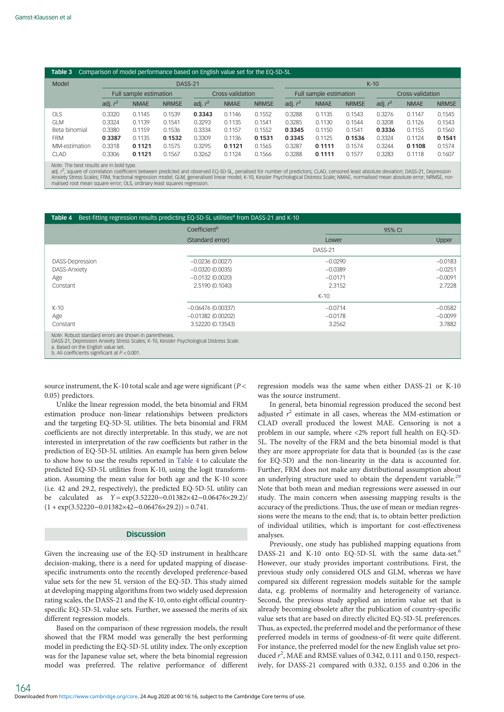## <span id="page-4-0"></span>Table 3 Comparison of model performance based on English value set for the EQ-5D-5L

| Model         | DASS-21    |             |                                            |            |                        |              |            |                  | $K-10$       |            |             |              |
|---------------|------------|-------------|--------------------------------------------|------------|------------------------|--------------|------------|------------------|--------------|------------|-------------|--------------|
|               |            |             | Full sample estimation<br>Cross-validation |            | Full sample estimation |              |            | Cross-validation |              |            |             |              |
|               | adj. $r^2$ | <b>NMAE</b> | <b>NRMSE</b>                               | adj. $r^2$ | <b>NMAE</b>            | <b>NRMSE</b> | adj. $r^2$ | <b>NMAE</b>      | <b>NRMSE</b> | adj. $r^2$ | <b>NMAE</b> | <b>NRMSE</b> |
| OLS           | 0.3320     | 0.1145      | 0.1539                                     | 0.3343     | 0.1146                 | 0.1552       | 0.3288     | 0.1135           | 0.1543       | 0.3276     | 0.1147      | 0.1545       |
| <b>GLM</b>    | 0.3324     | 0.1139      | 0.1541                                     | 0.3293     | 0.1135                 | 0.1541       | 0.3285     | 0.1130           | 0.1544       | 0.3208     | 0.1126      | 0.1543       |
| Beta binomial | 0.3380     | 0.1159      | 0.1536                                     | 0.3334     | 0.1157                 | 0.1552       | 0.3345     | 0.1150           | 0.1541       | 0.3336     | 0.1155      | 0.1560       |
| <b>FRM</b>    | 0.3387     | 0.1135      | 0.1532                                     | 0.3309     | 0.1136                 | 0.1531       | 0.3345     | 0.1125           | 0.1536       | 0.3324     | 0.1124      | 0.1541       |
| MM-estimation | 0.3318     | 0.1121      | 0.1575                                     | 0.3295     | 0.1121                 | 0.1565       | 0.3287     | 0.1111           | 0.1574       | 0.3244     | 0.1108      | 0.1574       |
| <b>CLAD</b>   | 0.3306     | 0.1121      | 0.1567                                     | 0.3262     | 0.1124                 | 0.1566       | 0.3288     | 0.1111           | 0.1577       | 0.3283     | 0.1118      | 0.1607       |

Note. The best results are in bold type.

adj. r<sup>2</sup>, square of correlation coefficient between predicted and observed EQ-5D-5L, penalised for number of predictors; CLAD, censored least absolute deviation; DASS-21, Depression<br>Anxiety Stress Scales; FRM, fractional

| Best-fitting regression results predicting EQ-5D-5L utilities <sup>a</sup> from DASS-21 and K-10<br>Table 4                                                                                                                                |                          |           |           |  |  |  |  |
|--------------------------------------------------------------------------------------------------------------------------------------------------------------------------------------------------------------------------------------------|--------------------------|-----------|-----------|--|--|--|--|
|                                                                                                                                                                                                                                            | Coefficient <sup>b</sup> |           | 95% CI    |  |  |  |  |
|                                                                                                                                                                                                                                            | (Standard error)         | Lower     | Upper     |  |  |  |  |
|                                                                                                                                                                                                                                            |                          | DASS-21   |           |  |  |  |  |
| DASS-Depression                                                                                                                                                                                                                            | $-0.0236(0.0027)$        | $-0.0290$ | $-0.0183$ |  |  |  |  |
| <b>DASS-Anxiety</b>                                                                                                                                                                                                                        | $-0.0320(0.0035)$        | $-0.0389$ | $-0.0251$ |  |  |  |  |
| Age                                                                                                                                                                                                                                        | $-0.0132(0.0020)$        | $-0.0171$ | $-0.0091$ |  |  |  |  |
| Constant                                                                                                                                                                                                                                   | 2.5190 (0.1040)          | 2.3152    | 2.7228    |  |  |  |  |
|                                                                                                                                                                                                                                            | $K-10$                   |           |           |  |  |  |  |
| $K-10$                                                                                                                                                                                                                                     | $-0.06476(0.00337)$      | $-0.0714$ | $-0.0582$ |  |  |  |  |
| Age                                                                                                                                                                                                                                        | $-0.01382(0.00202)$      | $-0.0178$ | $-0.0099$ |  |  |  |  |
| Constant                                                                                                                                                                                                                                   | 3.52220 (0.13543)        | 3.2562    | 3.7882    |  |  |  |  |
| Note. Robust standard errors are shown in parentheses.<br>DASS-21, Depression Anxiety Stress Scales; K-10, Kessler Psychological Distress Scale.<br>a. Based on the English value set.<br>b. All coefficients significant at $P < 0.001$ . |                          |           |           |  |  |  |  |

source instrument, the K-10 total scale and age were significant ( $P <$ 0.05) predictors.

Unlike the linear regression model, the beta binomial and FRM estimation produce non-linear relationships between predictors and the targeting EQ-5D-5L utilities. The beta binomial and FRM coefficients are not directly interpretable. In this study, we are not interested in interpretation of the raw coefficients but rather in the prediction of EQ-5D-5L utilities. An example has been given below to show how to use the results reported in Table 4 to calculate the predicted EQ-5D-5L utilities from K-10, using the logit transformation. Assuming the mean value for both age and the K-10 score (i.e. 42 and 29.2, respectively), the predicted EQ-5D-5L utility can be calculated as Y = exp(3.52220−0.01382×42−0.06476×29.2)/  $(1 + \exp(3.52220 - 0.01382 \times 42 - 0.06476 \times 29.2)) = 0.741$ .

# **Discussion**

Given the increasing use of the EQ-5D instrument in healthcare decision-making, there is a need for updated mapping of diseasespecific instruments onto the recently developed preference-based value sets for the new 5L version of the EQ-5D. This study aimed at developing mapping algorithms from two widely used depression rating scales, the DASS-21 and the K-10, onto eight official countryspecific EQ-5D-5L value sets. Further, we assessed the merits of six different regression models.

Based on the comparison of these regression models, the result showed that the FRM model was generally the best performing model in predicting the EQ-5D-5L utility index. The only exception was for the Japanese value set, where the beta binomial regression model was preferred. The relative performance of different

164

regression models was the same when either DASS-21 or K-10 was the source instrument.

In general, beta binomial regression produced the second best adjusted  $r^2$  estimate in all cases, whereas the MM-estimation or CLAD overall produced the lowest MAE. Censoring is not a problem in our sample, where <2% report full health on EQ-5D-5L. The novelty of the FRM and the beta binomial model is that they are more appropriate for data that is bounded (as is the case for EQ-5D) and the non-linearity in the data is accounted for. Further, FRM does not make any distributional assumption about an underlying structure used to obtain the dependent variable.<sup>25</sup> Note that both mean and median regressions were assessed in our study. The main concern when assessing mapping results is the accuracy of the predictions. Thus, the use of mean or median regressions were the means to the end; that is, to obtain better prediction of individual utilities, which is important for cost-effectiveness analyses.

Previously, one study has published mapping equations from DASS-21 and K-10 onto EQ-5D-5L with the same data-set.<sup>[6](#page-5-0)</sup> However, our study provides important contributions. First, the previous study only considered OLS and GLM, whereas we have compared six different regression models suitable for the sample data, e.g. problems of normality and heterogeneity of variance. Second, the previous study applied an interim value set that is already becoming obsolete after the publication of country-specific value sets that are based on directly elicited EQ-5D-5L preferences. Thus, as expected, the preferred model and the performance of these preferred models in terms of goodness-of-fit were quite different. For instance, the preferred model for the new English value set produced  $r^2$ , MAE and RMSE values of 0.342, 0.111 and 0.150, respectively, for DASS-21 compared with 0.332, 0.155 and 0.206 in the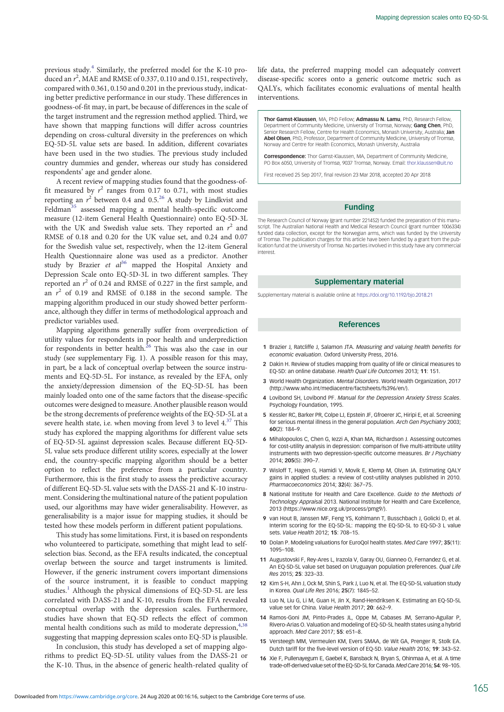<span id="page-5-0"></span>previous study.4 Similarly, the preferred model for the K-10 produced an  $r^2$ , MAE and RMSE of 0.337, 0.110 and 0.151, respectively, compared with 0.361, 0.150 and 0.201 in the previous study, indicating better predictive performance in our study. These differences in goodness-of-fit may, in part, be because of differences in the scale of the target instrument and the regression method applied. Third, we have shown that mapping functions will differ across countries depending on cross-cultural diversity in the preferences on which EQ-5D-5L value sets are based. In addition, different covariates have been used in the two studies. The previous study included country dummies and gender, whereas our study has considered respondents' age and gender alone.

A recent review of mapping studies found that the goodness-offit measured by  $r^2$  ranges from 0.17 to 0.71, with most studies reporting an  $r^2$  between 0.4 and 0.5.<sup>[26](#page-6-0)</sup> A study by Lindkvist and Feldman<sup>[35](#page-6-0)</sup> assessed mapping a mental health-specific outcome measure (12-item General Health Questionnaire) onto EQ-5D-3L with the UK and Swedish value sets. They reported an  $r^2$  and RMSE of 0.18 and 0.20 for the UK value set, and 0.24 and 0.07 for the Swedish value set, respectively, when the 12-item General Health Questionnaire alone was used as a predictor. Another study by Brazier et  $al^{36}$  $al^{36}$  $al^{36}$  mapped the Hospital Anxiety and Depression Scale onto EQ-5D-3L in two different samples. They reported an  $r^2$  of 0.24 and RMSE of 0.227 in the first sample, and an  $r^2$  of 0.19 and RMSE of 0.188 in the second sample. The mapping algorithm produced in our study showed better performance, although they differ in terms of methodological approach and predictor variables used.

Mapping algorithms generally suffer from overprediction of utility values for respondents in poor health and underprediction for respondents in better health.<sup>26</sup> This was also the case in our study (see supplementary Fig. 1). A possible reason for this may, in part, be a lack of conceptual overlap between the source instruments and EQ-5D-5L. For instance, as revealed by the EFA, only the anxiety/depression dimension of the EQ-5D-5L has been mainly loaded onto one of the same factors that the disease-specific outcomes were designed to measure. Another plausible reason would be the strong decrements of preference weights of the EQ-5D-5L at a severe health state, i.e. when moving from level 3 to level 4.<sup>[37](#page-6-0)</sup> This study has explored the mapping algorithms for different value sets of EQ-5D-5L against depression scales. Because different EQ-5D-5L value sets produce different utility scores, especially at the lower end, the country-specific mapping algorithm should be a better option to reflect the preference from a particular country. Furthermore, this is the first study to assess the predictive accuracy of different EQ-5D-5L value sets with the DASS-21 and K-10 instrument. Considering the multinational nature of the patient population used, our algorithms may have wider generalisability. However, as generalisability is a major issue for mapping studies, it should be tested how these models perform in different patient populations.

This study has some limitations. First, it is based on respondents who volunteered to participate, something that might lead to selfselection bias. Second, as the EFA results indicated, the conceptual overlap between the source and target instruments is limited. However, if the generic instrument covers important dimensions of the source instrument, it is feasible to conduct mapping studies.<sup>1</sup> Although the physical dimensions of EQ-5D-5L are less correlated with DASS-21 and K-10, results from the EFA revealed conceptual overlap with the depression scales. Furthermore, studies have shown that EQ-5D reflects the effect of common mental health conditions such as mild to moderate depression, $4,38$  $4,38$ suggesting that mapping depression scales onto EQ-5D is plausible.

In conclusion, this study has developed a set of mapping algorithms to predict EQ-5D-5L utility values from the DASS-21 or the K-10. Thus, in the absence of generic health-related quality of life data, the preferred mapping model can adequately convert disease-specific scores onto a generic outcome metric such as QALYs, which facilitates economic evaluations of mental health interventions.

Thor Gamst-Klaussen, MA, PhD Fellow; Admassu N. Lamu, PhD, Research Fellow, Department of Community Medicine, University of Tromsø, Norway; Gang Chen, PhD, Senior Research Fellow, Centre for Health Economics, Monash University, Australia; Jan Abel Olsen, PhD, Professor, Department of Community Medicine, University of Tromsø, Norway and Centre for Health Economics, Monash University, Australia

Correspondence: Thor Gamst-Klaussen, MA, Department of Community Medicine, PO Box 6050, University of Tromsø, 9037 Tromsø, Norway. Email: [thor.klaussen@uit.no](mailto:thor.klaussen@uit.no)

First received 25 Sep 2017, final revision 23 Mar 2018, accepted 20 Apr 2018

# Funding

The Research Council of Norway (grant number 221452) funded the preparation of this manuscript. The Australian National Health and Medical Research Council (grant number 1006334) funded data collection, except for the Norwegian arms, which was funded by the University of Tromsø. The publication charges for this article have been funded by a grant from the publication fund at the University of Tromsø. No parties involved in this study have any commercial interest.

## Supplementary material

Supplementary material is available online at <https://doi.org/10.1192/bjo.2018.21>

## References

- 1 Brazier J, Ratcliffe J, Salamon JTA. Measuring and valuing health benefits for economic evaluation. Oxford University Press, 2016.
- 2 Dakin H. Review of studies mapping from quality of life or clinical measures to EQ-5D: an online database. Health Qual Life Outcomes 2013; 11: 151.
- 3 World Health Organization. Mental Disorders. World Health Organization, 2017 (http://www.who.int/mediacentre/factsheets/fs396/en/).
- 4 Lovibond SH, Lovibond PF. Manual for the Depression Anxiety Stress Scales. Psychology Foundation, 1995.
- 5 Kessler RC, Barker PR, Colpe LJ, Epstein JF, Gfroerer JC, Hiripi E, et al. Screening for serious mental illness in the general population. Arch Gen Psychiatry 2003; 60(2): 184–9.
- 6 Mihalopoulos C, Chen G, Iezzi A, Khan MA, Richardson J. Assessing outcomes for cost-utility analysis in depression: comparison of five multi-attribute utility instruments with two depression-specific outcome measures. Br J Psychiatry 2014; 205(5): 390–7.
- 7 Wisloff T, Hagen G, Hamidi V, Movik E, Klemp M, Olsen JA. Estimating QALY gains in applied studies: a review of cost-utility analyses published in 2010. Pharmacoeconomics 2014; 32(4): 367–75.
- 8 National Institute for Health and Care Excellence. Guide to the Methods of Technology Appraisal 2013. National Institute for Health and Care Excellence, 2013 (https://www.nice.org.uk/process/pmg9/).
- 9 van Hout B, Janssen MF, Feng YS, Kohlmann T, Busschbach J, Golicki D, et al. Interim scoring for the EQ-5D-5L: mapping the EQ-5D-5L to EQ-5D-3 L value sets. Value Health 2012; 15: 708–15.
- 10 Dolan P. Modeling valuations for EuroQol health states. Med Care 1997; 35(11): 1095–108.
- 11 Augustovski F, Rey-Ares L, Irazola V, Garay OU, Gianneo O, Fernandez G, et al. An EQ-5D-5L value set based on Uruguayan population preferences. Qual Life Res 2015; 25: 323–33.
- 12 Kim S-H, Ahn J, Ock M, Shin S, Park J, Luo N, et al. The EQ-5D-5L valuation study in Korea. Qual Life Res 2016; 25(7): 1845–52.
- 13 Luo N, Liu G, Li M, Guan H, Jin X, Rand-Hendriksen K, Estimating an EQ-5D-5L value set for China. Value Health 2017; 20: 662–9.
- 14 Ramos-Goni JM, Pinto-Prades JL, Oppe M, Cabases JM, Serrano-Aguilar P, Rivero-Arias O. Valuation and modeling of EQ-5D-5L health states using a hybrid approach. Med Care 2017; 55: e51–8.
- 15 Versteegh MM, Vermeulen KM, Evers SMAA, de Wit GA, Prenger R, Stolk EA. Dutch tariff for the five-level version of EQ-5D. Value Health 2016; 19: 343–52.
- 16 Xie F, Pullenayegum E, Gaebel K, Bansback N, Bryan S, Ohinmaa A, et al. A time trade-off-derived value set of the EQ-5D-5L for Canada. Med Care 2016: 54: 98-105.